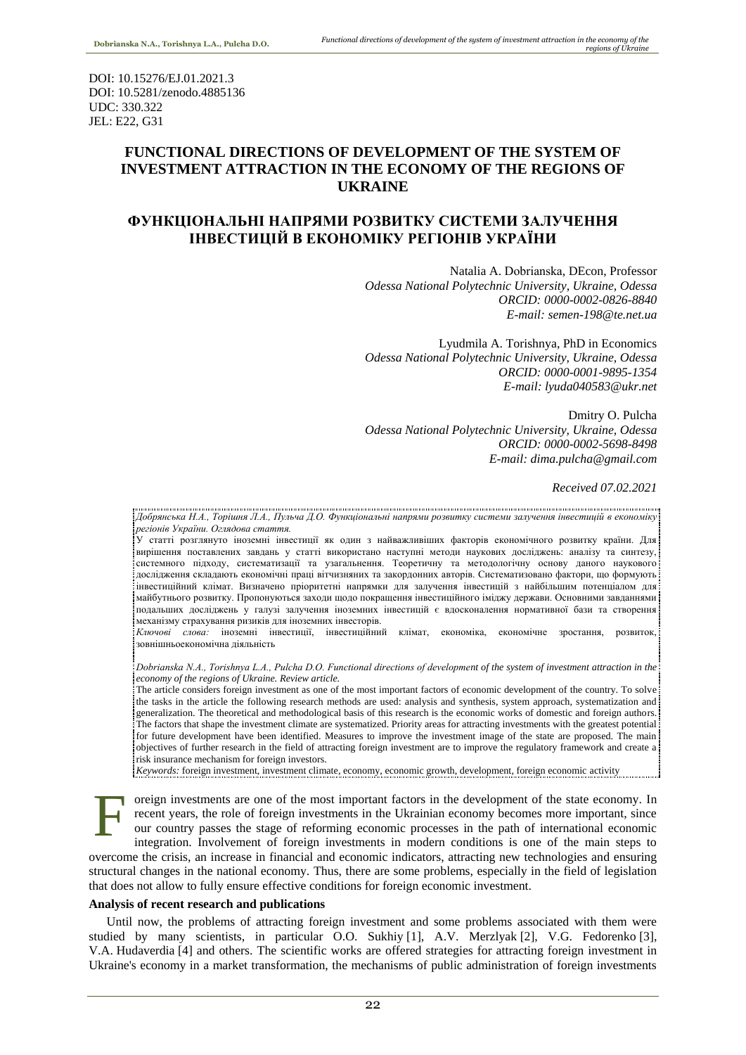DOI: 10.15276/EJ.01.2021.3 DOI: 10.5281/zenodo.4885136 UDC: 330.322 JEL: E22, G31

# **FUNCTIONAL DIRECTIONS OF DEVELOPMENT OF THE SYSTEM OF INVESTMENT ATTRACTION IN THE ECONOMY OF THE REGIONS OF UKRAINE**

## **ФУНКЦІОНАЛЬНІ НАПРЯМИ РОЗВИТКУ СИСТЕМИ ЗАЛУЧЕННЯ ІНВЕСТИЦІЙ В ЕКОНОМІКУ РЕГІОНІВ УКРАЇНИ**

Natalia A. Dobrianskа, DEcon, Professor *Odessa National Polytechnic University, Ukraine, Odessa ORCID: 0000-0002-0826-8840 E-mail: semen-198@te.net.ua*

Lyudmila A. Torishnya, PhD in Economics *Odessa National Polytechnic University, Ukraine, Odessa ORCID: 0000-0001-9895-1354 E-mail: lyuda040583@ukr.net*

Dmitry O. Pulcha *Odessa National Polytechnic University, Ukraine, Odessa ORCID: 0000-0002-5698-8498 E-mail: dima.pulcha@gmail.com*

*Received 07.02.2021*

*Добрянська Н.А., Торішня Л.А., Пульча Д.О. Функціональні напрями розвитку системи залучення інвестицій в економіку регіонів України. Оглядова стаття.*

У статті розглянуто іноземні інвестиції як один з найважливіших факторів економічного розвитку країни. Для вирішення поставлених завдань у статті використано наступні методи наукових досліджень: аналізу та синтезу, системного підходу, систематизації та узагальнення. Теоретичну та методологічну основу даного наукового дослідження складають економічні праці вітчизняних та закордонних авторів. Систематизовано фактори, що формують інвестиційний клімат. Визначено пріоритетні напрямки для залучення інвестицій з найбільшим потенціалом для майбутнього розвитку. Пропонуються заходи щодо покращення інвестиційного іміджу держави. Основними завданнями подальших досліджень у галузі залучення іноземних інвестицій є вдосконалення нормативної бази та створення механізму страхування ризиків для іноземних інвесторів.

*Ключові слова:* іноземні інвестиції, інвестиційний клімат, економіка, економічне зростання, розвиток, зовнішньоекономічна діяльність

*Dobrianskа N.А., Torishnya L.A., Pulcha D.O. Functional directions of development of the system of investment attraction in the economy of the regions of Ukraine. Review article.*

The article considers foreign investment as one of the most important factors of economic development of the country. To solve the tasks in the article the following research methods are used: analysis and synthesis, system approach, systematization and generalization. The theoretical and methodological basis of this research is the economic works of domestic and foreign authors. The factors that shape the investment climate are systematized. Priority areas for attracting investments with the greatest potential for future development have been identified. Measures to improve the investment image of the state are proposed. The main objectives of further research in the field of attracting foreign investment are to improve the regulatory framework and create a risk insurance mechanism for foreign investors.

*Keywords:* foreign investment, investment climate, economy, economic growth, development, foreign economic activity

oreign investments are one of the most important factors in the development of the state economy. In recent years, the role of foreign investments in the Ukrainian economy becomes more important, since our country passes the stage of reforming economic processes in the path of international economic integration. Involvement of foreign investments in modern conditions is one of the main steps to overcome the crisis, an increase in financial and economic indicators, attracting new technologies and ensuring structural changes in the national economy. Thus, there are some problems, especially in the field of legislation that does not allow to fully ensure effective conditions for foreign economic investment. F overcom<br>structura<br>that does

#### **Analysis of recent research and publications**

Until now, the problems of attracting foreign investment and some problems associated with them were studied by many scientists, in particular O.O. Sukhiy [1], A.V. Merzlyak [2], V.G. Fedorenko [3], V.A. Hudaverdia [4] and others. The scientific works are offered strategies for attracting foreign investment in Ukraine's economy in a market transformation, the mechanisms of public administration of foreign investments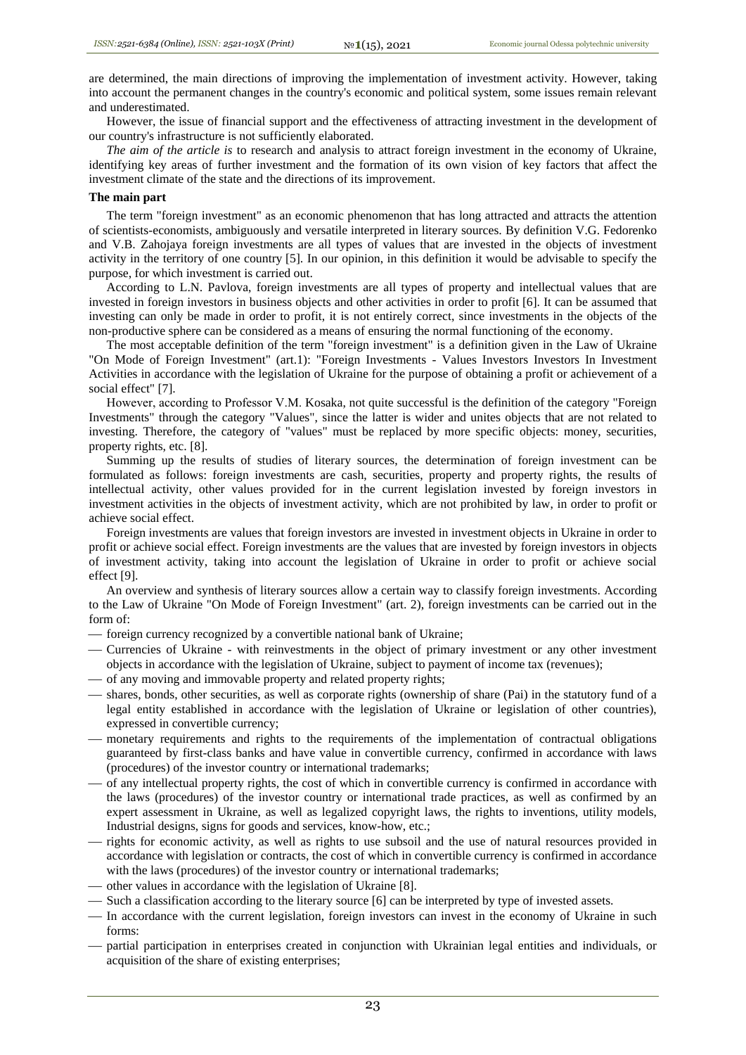are determined, the main directions of improving the implementation of investment activity. However, taking into account the permanent changes in the country's economic and political system, some issues remain relevant and underestimated.

However, the issue of financial support and the effectiveness of attracting investment in the development of our country's infrastructure is not sufficiently elaborated.

*The aim of the article is* to research and analysis to attract foreign investment in the economy of Ukraine, identifying key areas of further investment and the formation of its own vision of key factors that affect the investment climate of the state and the directions of its improvement.

#### **The main part**

The term "foreign investment" as an economic phenomenon that has long attracted and attracts the attention of scientists-economists, ambiguously and versatile interpreted in literary sources. By definition V.G. Fedorenko and V.B. Zahojaya foreign investments are all types of values that are invested in the objects of investment activity in the territory of one country [5]. In our opinion, in this definition it would be advisable to specify the purpose, for which investment is carried out.

According to L.N. Pavlova, foreign investments are all types of property and intellectual values that are invested in foreign investors in business objects and other activities in order to profit [6]. It can be assumed that investing can only be made in order to profit, it is not entirely correct, since investments in the objects of the non-productive sphere can be considered as a means of ensuring the normal functioning of the economy.

The most acceptable definition of the term "foreign investment" is a definition given in the Law of Ukraine "On Mode of Foreign Investment" (art.1): "Foreign Investments - Values Investors Investors In Investment Activities in accordance with the legislation of Ukraine for the purpose of obtaining a profit or achievement of a social effect" [7].

However, according to Professor V.М. Kosaka, not quite successful is the definition of the category "Foreign Investments" through the category "Values", since the latter is wider and unites objects that are not related to investing. Therefore, the category of "values" must be replaced by more specific objects: money, securities, property rights, etc. [8].

Summing up the results of studies of literary sources, the determination of foreign investment can be formulated as follows: foreign investments are cash, securities, property and property rights, the results of intellectual activity, other values provided for in the current legislation invested by foreign investors in investment activities in the objects of investment activity, which are not prohibited by law, in order to profit or achieve social effect.

Foreign investments are values that foreign investors are invested in investment objects in Ukraine in order to profit or achieve social effect. Foreign investments are the values that are invested by foreign investors in objects of investment activity, taking into account the legislation of Ukraine in order to profit or achieve social effect [9].

An overview and synthesis of literary sources allow a certain way to classify foreign investments. According to the Law of Ukraine "On Mode of Foreign Investment" (art. 2), foreign investments can be carried out in the form of:

- foreign currency recognized by a convertible national bank of Ukraine;
- Currencies of Ukraine with reinvestments in the object of primary investment or any other investment objects in accordance with the legislation of Ukraine, subject to payment of income tax (revenues);
- $-$  of any moving and immovable property and related property rights;
- shares, bonds, other securities, as well as corporate rights (ownership of share (Pai) in the statutory fund of a legal entity established in accordance with the legislation of Ukraine or legislation of other countries), expressed in convertible currency;
- monetary requirements and rights to the requirements of the implementation of contractual obligations guaranteed by first-class banks and have value in convertible currency, confirmed in accordance with laws (procedures) of the investor country or international trademarks;
- of any intellectual property rights, the cost of which in convertible currency is confirmed in accordance with the laws (procedures) of the investor country or international trade practices, as well as confirmed by an expert assessment in Ukraine, as well as legalized copyright laws, the rights to inventions, utility models, Industrial designs, signs for goods and services, know-how, etc.;
- rights for economic activity, as well as rights to use subsoil and the use of natural resources provided in accordance with legislation or contracts, the cost of which in convertible currency is confirmed in accordance with the laws (procedures) of the investor country or international trademarks;
- other values in accordance with the legislation of Ukraine [8].
- Such a classification according to the literary source [6] can be interpreted by type of invested assets.
- In accordance with the current legislation, foreign investors can invest in the economy of Ukraine in such forms:
- partial participation in enterprises created in conjunction with Ukrainian legal entities and individuals, or acquisition of the share of existing enterprises;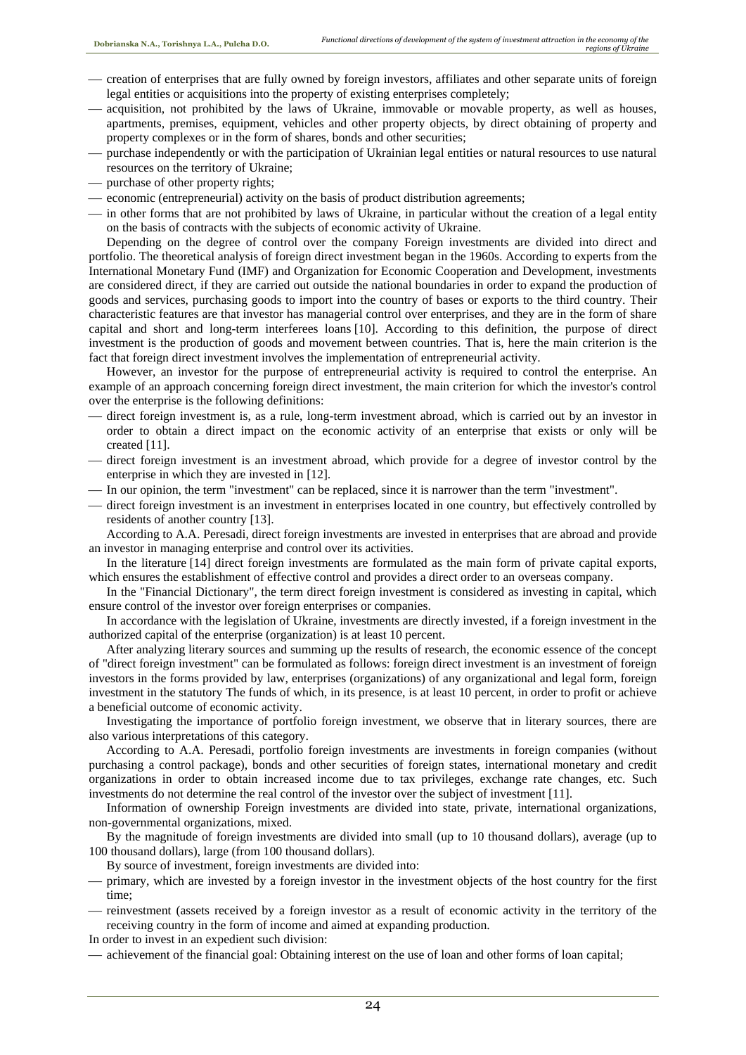- creation of enterprises that are fully owned by foreign investors, affiliates and other separate units of foreign legal entities or acquisitions into the property of existing enterprises completely;
- acquisition, not prohibited by the laws of Ukraine, immovable or movable property, as well as houses, apartments, premises, equipment, vehicles and other property objects, by direct obtaining of property and property complexes or in the form of shares, bonds and other securities;
- purchase independently or with the participation of Ukrainian legal entities or natural resources to use natural resources on the territory of Ukraine;
- purchase of other property rights;
- economic (entrepreneurial) activity on the basis of product distribution agreements;
- $\frac{1}{\sqrt{1-\mu}}$  in other forms that are not prohibited by laws of Ukraine, in particular without the creation of a legal entity on the basis of contracts with the subjects of economic activity of Ukraine.

Depending on the degree of control over the company Foreign investments are divided into direct and portfolio. The theoretical analysis of foreign direct investment began in the 1960s. According to experts from the International Monetary Fund (IMF) and Organization for Economic Cooperation and Development, investments are considered direct, if they are carried out outside the national boundaries in order to expand the production of goods and services, purchasing goods to import into the country of bases or exports to the third country. Their characteristic features are that investor has managerial control over enterprises, and they are in the form of share capital and short and long-term interferees loans [10]. According to this definition, the purpose of direct investment is the production of goods and movement between countries. That is, here the main criterion is the fact that foreign direct investment involves the implementation of entrepreneurial activity.

However, an investor for the purpose of entrepreneurial activity is required to control the enterprise. An example of an approach concerning foreign direct investment, the main criterion for which the investor's control over the enterprise is the following definitions:

- direct foreign investment is, as a rule, long-term investment abroad, which is carried out by an investor in order to obtain a direct impact on the economic activity of an enterprise that exists or only will be created [11].
- direct foreign investment is an investment abroad, which provide for a degree of investor control by the enterprise in which they are invested in [12].
- In our opinion, the term "investment" can be replaced, since it is narrower than the term "investment".
- direct foreign investment is an investment in enterprises located in one country, but effectively controlled by residents of another country [13].

According to A.A. Peresadi, direct foreign investments are invested in enterprises that are abroad and provide an investor in managing enterprise and control over its activities.

In the literature [14] direct foreign investments are formulated as the main form of private capital exports, which ensures the establishment of effective control and provides a direct order to an overseas company.

In the "Financial Dictionary", the term direct foreign investment is considered as investing in capital, which ensure control of the investor over foreign enterprises or companies.

In accordance with the legislation of Ukraine, investments are directly invested, if a foreign investment in the authorized capital of the enterprise (organization) is at least 10 percent.

After analyzing literary sources and summing up the results of research, the economic essence of the concept of "direct foreign investment" can be formulated as follows: foreign direct investment is an investment of foreign investors in the forms provided by law, enterprises (organizations) of any organizational and legal form, foreign investment in the statutory The funds of which, in its presence, is at least 10 percent, in order to profit or achieve a beneficial outcome of economic activity.

Investigating the importance of portfolio foreign investment, we observe that in literary sources, there are also various interpretations of this category.

According to A.A. Peresadi, portfolio foreign investments are investments in foreign companies (without purchasing a control package), bonds and other securities of foreign states, international monetary and credit organizations in order to obtain increased income due to tax privileges, exchange rate changes, etc. Such investments do not determine the real control of the investor over the subject of investment [11].

Information of ownership Foreign investments are divided into state, private, international organizations, non-governmental organizations, mixed.

By the magnitude of foreign investments are divided into small (up to 10 thousand dollars), average (up to 100 thousand dollars), large (from 100 thousand dollars).

By source of investment, foreign investments are divided into:

- primary, which are invested by a foreign investor in the investment objects of the host country for the first time;
- reinvestment (assets received by a foreign investor as a result of economic activity in the territory of the receiving country in the form of income and aimed at expanding production.

In order to invest in an expedient such division:

achievement of the financial goal: Obtaining interest on the use of loan and other forms of loan capital;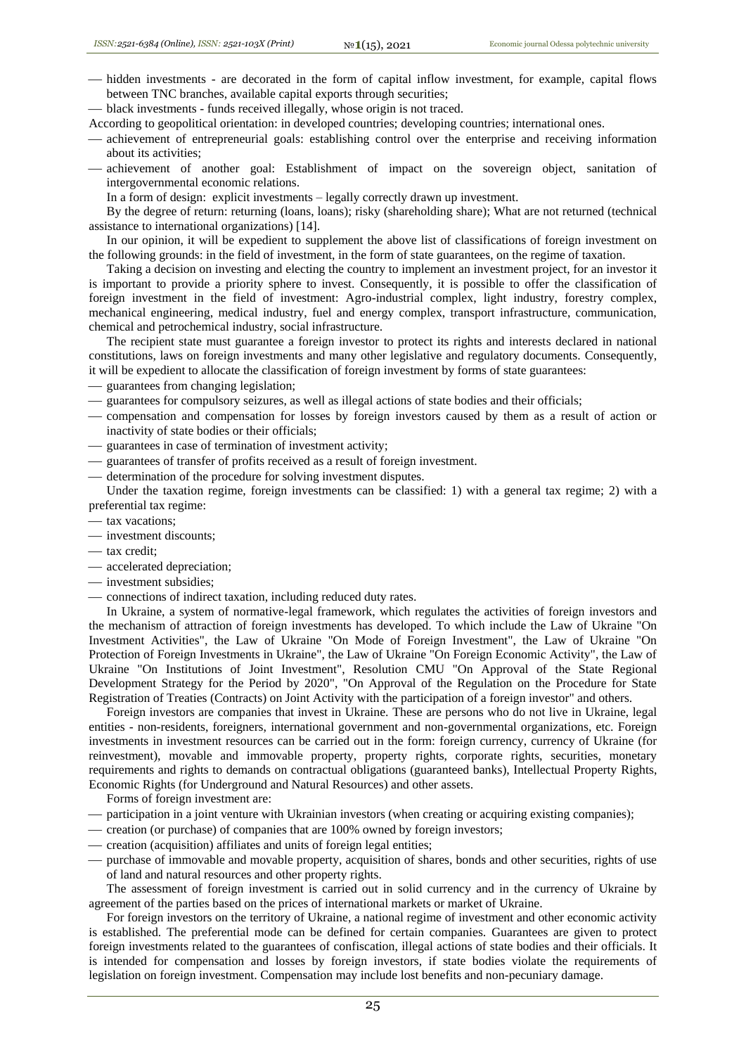- hidden investments are decorated in the form of capital inflow investment, for example, capital flows between TNC branches, available capital exports through securities;
- black investments funds received illegally, whose origin is not traced.
- According to geopolitical orientation: in developed countries; developing countries; international ones.
- achievement of entrepreneurial goals: establishing control over the enterprise and receiving information about its activities;
- achievement of another goal: Establishment of impact on the sovereign object, sanitation of intergovernmental economic relations.
	- In a form of design: explicit investments legally correctly drawn up investment.

By the degree of return: returning (loans, loans); risky (shareholding share); What are not returned (technical assistance to international organizations) [14].

In our opinion, it will be expedient to supplement the above list of classifications of foreign investment on the following grounds: in the field of investment, in the form of state guarantees, on the regime of taxation.

Taking a decision on investing and electing the country to implement an investment project, for an investor it is important to provide a priority sphere to invest. Consequently, it is possible to offer the classification of foreign investment in the field of investment: Agro-industrial complex, light industry, forestry complex, mechanical engineering, medical industry, fuel and energy complex, transport infrastructure, communication, chemical and petrochemical industry, social infrastructure.

The recipient state must guarantee a foreign investor to protect its rights and interests declared in national constitutions, laws on foreign investments and many other legislative and regulatory documents. Consequently, it will be expedient to allocate the classification of foreign investment by forms of state guarantees:

- guarantees from changing legislation;
- guarantees for compulsory seizures, as well as illegal actions of state bodies and their officials;
- compensation and compensation for losses by foreign investors caused by them as a result of action or inactivity of state bodies or their officials;
- guarantees in case of termination of investment activity;
- guarantees of transfer of profits received as a result of foreign investment.
- determination of the procedure for solving investment disputes.

Under the taxation regime, foreign investments can be classified: 1) with a general tax regime; 2) with a preferential tax regime:

- $-$  tax vacations:
- investment discounts;
- tax credit;
- accelerated depreciation;
- investment subsidies;
- connections of indirect taxation, including reduced duty rates.

In Ukraine, a system of normative-legal framework, which regulates the activities of foreign investors and the mechanism of attraction of foreign investments has developed. To which include the Law of Ukraine "On Investment Activities", the Law of Ukraine "On Mode of Foreign Investment", the Law of Ukraine "On Protection of Foreign Investments in Ukraine", the Law of Ukraine "On Foreign Economic Activity", the Law of Ukraine "On Institutions of Joint Investment", Resolution CMU "On Approval of the State Regional Development Strategy for the Period by 2020", "On Approval of the Regulation on the Procedure for State Registration of Treaties (Contracts) on Joint Activity with the participation of a foreign investor" and others.

Foreign investors are companies that invest in Ukraine. These are persons who do not live in Ukraine, legal entities - non-residents, foreigners, international government and non-governmental organizations, etc. Foreign investments in investment resources can be carried out in the form: foreign currency, currency of Ukraine (for reinvestment), movable and immovable property, property rights, corporate rights, securities, monetary requirements and rights to demands on contractual obligations (guaranteed banks), Intellectual Property Rights, Economic Rights (for Underground and Natural Resources) and other assets.

Forms of foreign investment are:

- participation in a joint venture with Ukrainian investors (when creating or acquiring existing companies);
- creation (or purchase) of companies that are 100% owned by foreign investors;
- creation (acquisition) affiliates and units of foreign legal entities;
- purchase of immovable and movable property, acquisition of shares, bonds and other securities, rights of use of land and natural resources and other property rights.

The assessment of foreign investment is carried out in solid currency and in the currency of Ukraine by agreement of the parties based on the prices of international markets or market of Ukraine.

For foreign investors on the territory of Ukraine, a national regime of investment and other economic activity is established. The preferential mode can be defined for certain companies. Guarantees are given to protect foreign investments related to the guarantees of confiscation, illegal actions of state bodies and their officials. It is intended for compensation and losses by foreign investors, if state bodies violate the requirements of legislation on foreign investment. Compensation may include lost benefits and non-pecuniary damage.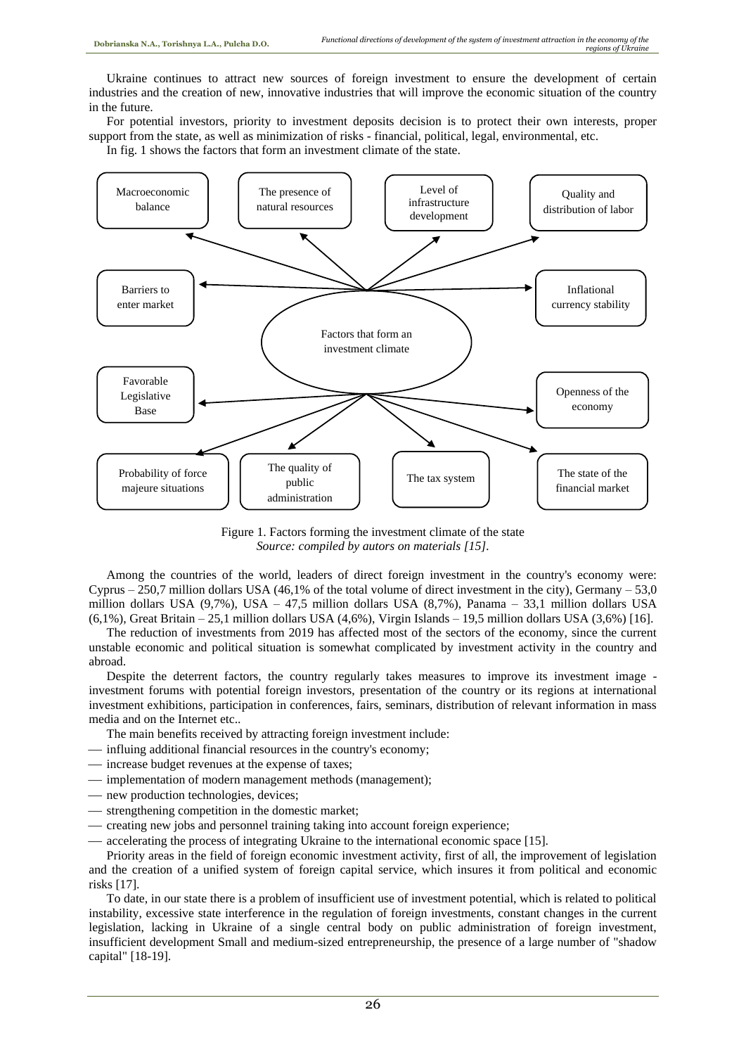Ukraine continues to attract new sources of foreign investment to ensure the development of certain industries and the creation of new, innovative industries that will improve the economic situation of the country in the future.

For potential investors, priority to investment deposits decision is to protect their own interests, proper support from the state, as well as minimization of risks - financial, political, legal, environmental, etc.

In fig. 1 shows the factors that form an investment climate of the state.



Figure 1. Factors forming the investment climate of the state *Source: compiled by autors on materials [15].*

Among the countries of the world, leaders of direct foreign investment in the country's economy were: Cyprus – 250,7 million dollars USA (46,1% of the total volume of direct investment in the city), Germany – 53,0 million dollars USA (9,7%), USA – 47,5 million dollars USA (8,7%), Panama – 33,1 million dollars USA (6,1%), Great Britain – 25,1 million dollars USA (4,6%), Virgin Islands – 19,5 million dollars USA (3,6%) [16].

The reduction of investments from 2019 has affected most of the sectors of the economy, since the current unstable economic and political situation is somewhat complicated by investment activity in the country and abroad.

Despite the deterrent factors, the country regularly takes measures to improve its investment image investment forums with potential foreign investors, presentation of the country or its regions at international investment exhibitions, participation in conferences, fairs, seminars, distribution of relevant information in mass media and on the Internet etc..

The main benefits received by attracting foreign investment include:

- influing additional financial resources in the country's economy;
- increase budget revenues at the expense of taxes;
- implementation of modern management methods (management);
- new production technologies, devices;
- $\frac{1}{1}$  strengthening competition in the domestic market;
- creating new jobs and personnel training taking into account foreign experience;
- accelerating the process of integrating Ukraine to the international economic space [15].

Priority areas in the field of foreign economic investment activity, first of all, the improvement of legislation and the creation of a unified system of foreign capital service, which insures it from political and economic risks [17].

To date, in our state there is a problem of insufficient use of investment potential, which is related to political instability, excessive state interference in the regulation of foreign investments, constant changes in the current legislation, lacking in Ukraine of a single central body on public administration of foreign investment, insufficient development Small and medium-sized entrepreneurship, the presence of a large number of "shadow capital" [18-19].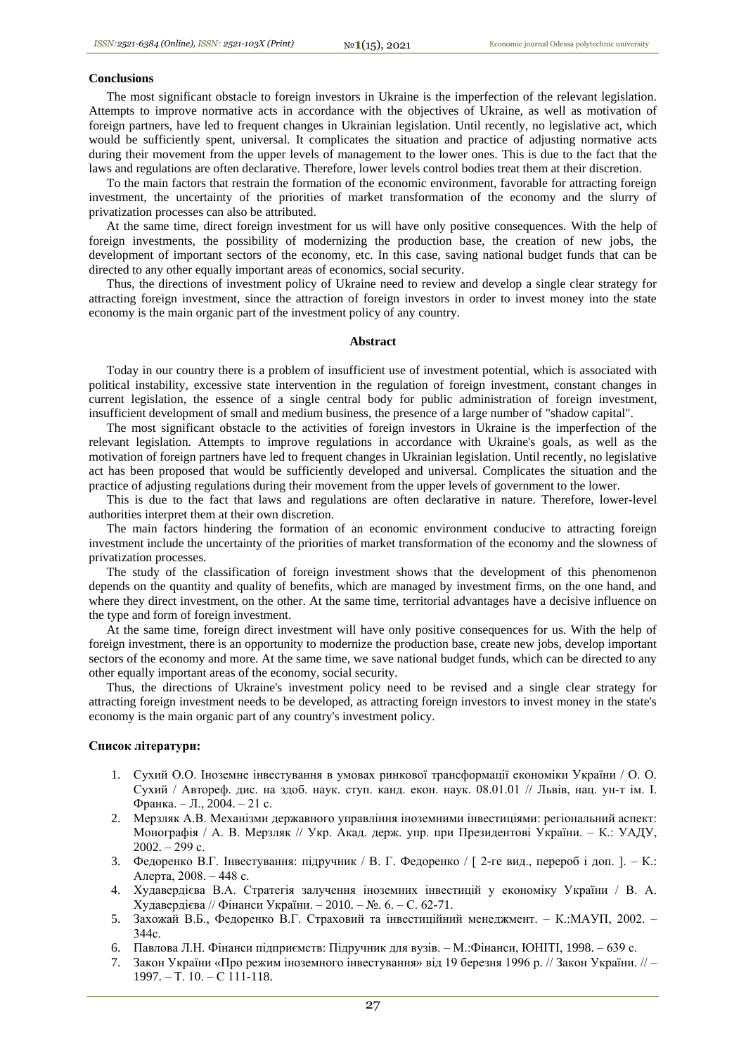#### **Conclusions**

The most significant obstacle to foreign investors in Ukraine is the imperfection of the relevant legislation. Attempts to improve normative acts in accordance with the objectives of Ukraine, as well as motivation of foreign partners, have led to frequent changes in Ukrainian legislation. Until recently, no legislative act, which would be sufficiently spent, universal. It complicates the situation and practice of adjusting normative acts during their movement from the upper levels of management to the lower ones. This is due to the fact that the laws and regulations are often declarative. Therefore, lower levels control bodies treat them at their discretion.

To the main factors that restrain the formation of the economic environment, favorable for attracting foreign investment, the uncertainty of the priorities of market transformation of the economy and the slurry of privatization processes can also be attributed.

At the same time, direct foreign investment for us will have only positive consequences. With the help of foreign investments, the possibility of modernizing the production base, the creation of new jobs, the development of important sectors of the economy, etc. In this case, saving national budget funds that can be directed to any other equally important areas of economics, social security.

Thus, the directions of investment policy of Ukraine need to review and develop a single clear strategy for attracting foreign investment, since the attraction of foreign investors in order to invest money into the state economy is the main organic part of the investment policy of any country.

#### **Abstract**

Today in our country there is a problem of insufficient use of investment potential, which is associated with political instability, excessive state intervention in the regulation of foreign investment, constant changes in current legislation, the essence of a single central body for public administration of foreign investment, insufficient development of small and medium business, the presence of a large number of "shadow capital".

The most significant obstacle to the activities of foreign investors in Ukraine is the imperfection of the relevant legislation. Attempts to improve regulations in accordance with Ukraine's goals, as well as the motivation of foreign partners have led to frequent changes in Ukrainian legislation. Until recently, no legislative act has been proposed that would be sufficiently developed and universal. Complicates the situation and the practice of adjusting regulations during their movement from the upper levels of government to the lower.

This is due to the fact that laws and regulations are often declarative in nature. Therefore, lower-level authorities interpret them at their own discretion.

The main factors hindering the formation of an economic environment conducive to attracting foreign investment include the uncertainty of the priorities of market transformation of the economy and the slowness of privatization processes.

The study of the classification of foreign investment shows that the development of this phenomenon depends on the quantity and quality of benefits, which are managed by investment firms, on the one hand, and where they direct investment, on the other. At the same time, territorial advantages have a decisive influence on the type and form of foreign investment.

At the same time, foreign direct investment will have only positive consequences for us. With the help of foreign investment, there is an opportunity to modernize the production base, create new jobs, develop important sectors of the economy and more. At the same time, we save national budget funds, which can be directed to any other equally important areas of the economy, social security.

Thus, the directions of Ukraine's investment policy need to be revised and a single clear strategy for attracting foreign investment needs to be developed, as attracting foreign investors to invest money in the state's economy is the main organic part of any country's investment policy.

### **Список літератури:**

- 1. Сухий О.О. Іноземне інвестування в умовах ринкової трансформації економіки України / О. О. Сухий / Автореф. дис. на здоб. наук. ступ. канд. екон. наук. 08.01.01 // Львів, нац. ун-т ім. І. Франка. – Л., 2004. – 21 с.
- 2. Мерзляк А.В. Механізми державного управління іноземними інвестиціями: регіональний аспект: Монографія / А. В. Мерзляк // Укр. Акад. держ. упр. при Президентові України. – К.: УАДУ,  $2002. - 299$  c.
- 3. Федоренко В.Г. Інвестування: підручник / В. Г. Федоренко / [ 2-ге вид., перероб і доп. ]. К.: Алерта, 2008. – 448 с.
- 4. Худавердієва В.А. Стратегія залучення іноземних інвестицій у економіку України / В. А. Худавердієва // Фінанси України. – 2010. – №. 6. – С. 62-71.
- 5. Захожай В.Б., Федоренко В.Г. Страховий та інвестиційний менеджмент. К.:МАУП, 2002. 344с.
- 6. Павлова Л.Н. Фінанси підприємств: Підручник для вузів. М.:Фінанси, ЮНІТІ, 1998. 639 с.
- 7. Закон України «Про режим іноземного інвестування» від 19 березня 1996 р. // Закон України. // 1997. – Т. 10. – С 111-118.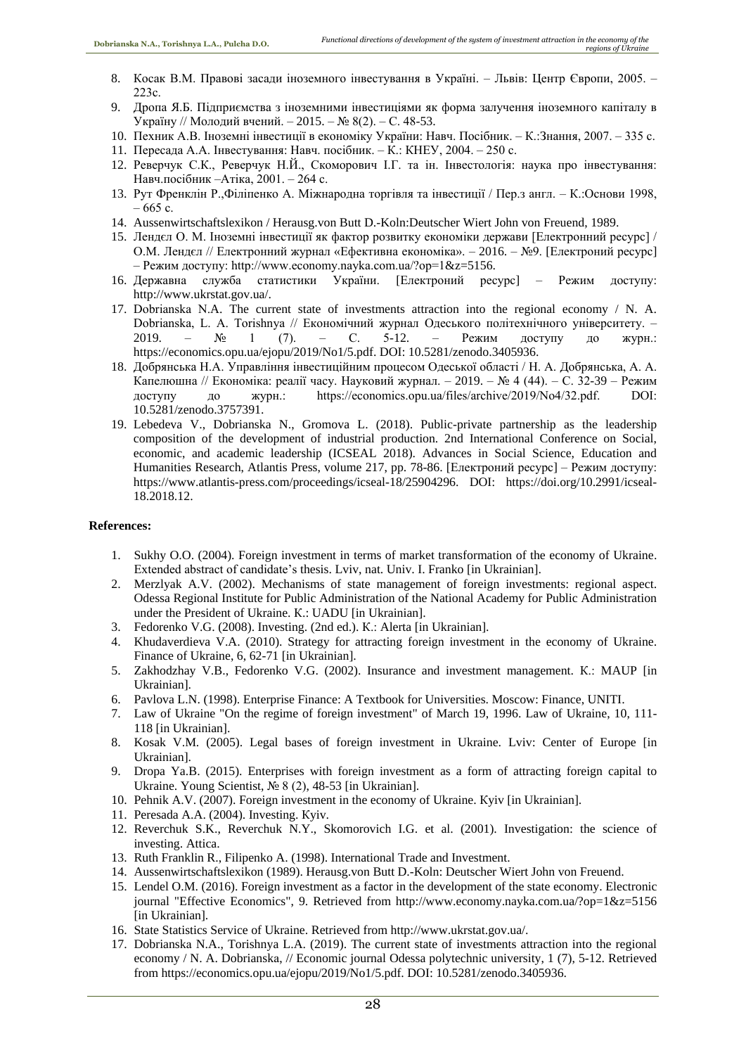- 8. Косак В.М. Правові засади іноземного інвестування в Україні. Львів: Центр Європи, 2005. 223с.
- 9. Дропа Я.Б. Підприємства з іноземними інвестиціями як форма залучення іноземного капіталу в Україну // Молодий вчений. – 2015. – № 8(2). – С. 48-53.
- 10. Пехник А.В. Іноземні інвестиції в економіку України: Навч. Посібник. К.:Знання, 2007. 335 с.
- 11. Пересада А.А. Інвестування: Навч. посібник. К.: КНЕУ, 2004. 250 с.
- 12. Реверчук С.К., Реверчук Н.Й., Скоморович І.Г. та ін. Інвестологія: наука про інвестування: Навч.посібник –Атіка, 2001. – 264 с.
- 13. Рут Френклін Р.,Філіпенко А. Міжнародна торгівля та інвестиції / Пер.з англ. К.:Основи 1998, – 665 с.
- 14. Aussenwirtschaftslexikon / Herausg.von Butt D.-Koln:Deutscher Wiert John von Freuend, 1989.
- 15. Лендєл О. М. Іноземні інвестиції як фактор розвитку економіки держави [Електронний ресурс] / О.М. Лендєл // Електронний журнал «Ефективна економіка». – 2016. – №9. [Електроний ресурс] – Режим доступу: http://www.economy.nayka.com.ua/?op=1&z=5156.
- 16. Державна служба статистики України. [Електроний ресурс] Режим доступу: http://www.ukrstat.gov.ua/.
- 17. Dobrianskа N.A. The current state of investments attraction into the regional economy / N. A. Dobrianskа, L. A. Torishnya // Економічний журнал Одеського політехнічного університету. – 2019. – № 1 (7). – С. 5-12. – Режим доступу до журн.: https://economics.opu.ua/ejopu/2019/No1/5.pdf. DOI: 10.5281/zenodo.3405936.
- 18. Добрянська Н.А. Управління інвестиційним процесом Одеської області / Н. А. Добрянська, А. А. Капелюшна // Економіка: реалії часу. Науковий журнал. – 2019. – № 4 (44). – С. 32-39 – Режим доступу до журн.: https://economics.opu.ua/files/archive/2019/Nо4/32.pdf. DOI: 10.5281/zenodo.3757391.
- 19. Lebedeva V., Dobrianska N., Gromova L. (2018). Public-private partnership as the leadership composition of the development of industrial production. 2nd International Conference on Social, economic, and academic leadership (ICSEAL 2018). Advances in Social Science, Education and Humanities Research, Atlantis Press, volume 217, pp. 78-86. [Електроний ресурс] – Режим доступу: https://www.atlantis-press.com/proceedings/icseal-18/25904296. DOI: https://doi.org/10.2991/icseal-18.2018.12.

### **References:**

- 1. Sukhy O.O. (2004). Foreign investment in terms of market transformation of the economy of Ukraine. Extended abstract of candidate's thesis. Lviv, nat. Univ. I. Franko [in Ukrainian].
- 2. Merzlyak A.V. (2002). Mechanisms of state management of foreign investments: regional aspect. Odessa Regional Institute for Public Administration of the National Academy for Public Administration under the President of Ukraine. К.: UADU [in Ukrainian].
- 3. Fedorenko V.G. (2008). Investing. (2nd ed.). К.: Alerta [in Ukrainian].
- 4. Khudaverdieva V.A. (2010). Strategy for attracting foreign investment in the economy of Ukraine. Finance of Ukraine, 6, 62-71 [in Ukrainian].
- 5. Zakhodzhay V.B., Fedorenko V.G. (2002). Insurance and investment management. К.: MAUP [in Ukrainian].
- 6. Pavlova L.N. (1998). Enterprise Finance: A Textbook for Universities. Moscow: Finance, UNITI.
- 7. Law of Ukraine "On the regime of foreign investment" of March 19, 1996. Law of Ukraine, 10, 111- 118 [in Ukrainian].
- 8. Kosak V.M. (2005). Legal bases of foreign investment in Ukraine. Lviv: Center of Europe [in Ukrainian].
- 9. Dropa Ya.B. (2015). Enterprises with foreign investment as a form of attracting foreign capital to Ukraine. Young Scientist, № 8 (2), 48-53 [in Ukrainian].
- 10. Pehnik A.V. (2007). Foreign investment in the economy of Ukraine. Кyiv [in Ukrainian].
- 11. Peresada A.A. (2004). Investing. Кyiv.
- 12. Reverchuk S.K., Reverchuk N.Y., Skomorovich I.G. et al. (2001). Investigation: the science of investing. Attica.
- 13. Ruth Franklin R., Filipenko A. (1998). International Trade and Investment.
- 14. Aussenwirtschaftslexikon (1989). Herausg.von Butt D.-Koln: Deutscher Wiert John von Freuend.
- 15. Lendel O.M. (2016). Foreign investment as a factor in the development of the state economy. Electronic journal "Effective Economics", 9. Retrieved from http://www.economy.nayka.com.ua/?op=1&z=5156 [in Ukrainian].
- 16. State Statistics Service of Ukraine. Retrieved from http://www.ukrstat.gov.ua/.
- 17. Dobrianskа N.A., Torishnya L.A. (2019). The current state of investments attraction into the regional economy / N. A. Dobrianskа, // Economic journal Odessa polytechnic university, 1 (7), 5-12. Retrieved from https://economics.opu.ua/ejopu/2019/No1/5.pdf. DOI: 10.5281/zenodo.3405936.